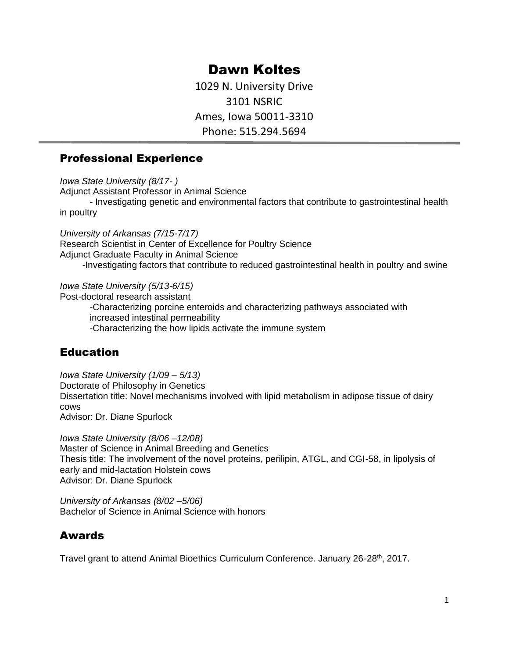# Dawn Koltes

1029 N. University Drive 3101 NSRIC Ames, Iowa 50011-3310 Phone: 515.294.5694

#### Professional Experience

*Iowa State University (8/17- )*

Adjunct Assistant Professor in Animal Science

- Investigating genetic and environmental factors that contribute to gastrointestinal health in poultry

*University of Arkansas (7/15-7/17)* Research Scientist in Center of Excellence for Poultry Science Adjunct Graduate Faculty in Animal Science -Investigating factors that contribute to reduced gastrointestinal health in poultry and swine

*Iowa State University (5/13-6/15)*

Post-doctoral research assistant

-Characterizing porcine enteroids and characterizing pathways associated with increased intestinal permeability -Characterizing the how lipids activate the immune system

#### **Education**

*Iowa State University (1/09 – 5/13)*

Doctorate of Philosophy in Genetics

Dissertation title: Novel mechanisms involved with lipid metabolism in adipose tissue of dairy cows Advisor: Dr. Diane Spurlock

*Iowa State University (8/06 –12/08)* Master of Science in Animal Breeding and Genetics Thesis title: The involvement of the novel proteins, perilipin, ATGL, and CGI-58, in lipolysis of early and mid-lactation Holstein cows Advisor: Dr. Diane Spurlock

*University of Arkansas (8/02 –5/06)* Bachelor of Science in Animal Science with honors

#### Awards

Travel grant to attend Animal Bioethics Curriculum Conference. January 26-28<sup>th</sup>, 2017.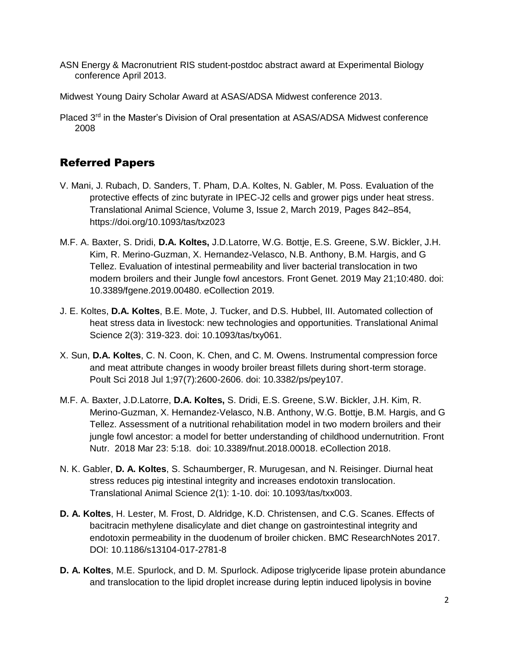- ASN Energy & Macronutrient RIS student-postdoc abstract award at Experimental Biology conference April 2013.
- Midwest Young Dairy Scholar Award at ASAS/ADSA Midwest conference 2013.
- Placed 3<sup>rd</sup> in the Master's Division of Oral presentation at ASAS/ADSA Midwest conference 2008

## Referred Papers

- V. Mani, J. Rubach, D. Sanders, T. Pham, D.A. Koltes, N. Gabler, M. Poss. Evaluation of the protective effects of zinc butyrate in IPEC-J2 cells and grower pigs under heat stress. Translational Animal Science, Volume 3, Issue 2, March 2019, Pages 842–854, https://doi.org/10.1093/tas/txz023
- M.F. A. Baxter, S. Dridi, **D.A. Koltes,** J.D.Latorre, W.G. Bottje, E.S. Greene, S.W. Bickler, J.H. Kim, R. Merino-Guzman, X. Hernandez-Velasco, N.B. Anthony, B.M. Hargis, and G Tellez. Evaluation of intestinal permeability and liver bacterial translocation in two modern broilers and their Jungle fowl ancestors. Front Genet. 2019 May 21;10:480. doi: 10.3389/fgene.2019.00480. eCollection 2019.
- J. E. Koltes, **D.A. Koltes**, B.E. Mote, J. Tucker, and D.S. Hubbel, III. Automated collection of heat stress data in livestock: new technologies and opportunities. Translational Animal Science 2(3): 319-323. doi: 10.1093/tas/txy061.
- X. Sun, **D.A. Koltes**, C. N. Coon, K. Chen, and C. M. Owens. Instrumental compression force and meat attribute changes in woody broiler breast fillets during short-term storage. Poult Sci 2018 Jul 1;97(7):2600-2606. doi: 10.3382/ps/pey107.
- M.F. A. Baxter, J.D.Latorre, **D.A. Koltes,** S. Dridi, E.S. Greene, S.W. Bickler, J.H. Kim, R. Merino-Guzman, X. Hernandez-Velasco, N.B. Anthony, W.G. Bottje, B.M. Hargis, and G Tellez. Assessment of a nutritional rehabilitation model in two modern broilers and their jungle fowl ancestor: a model for better understanding of childhood undernutrition. Front Nutr. 2018 Mar 23: 5:18. doi: 10.3389/fnut.2018.00018. eCollection 2018.
- N. K. Gabler, **D. A. Koltes**, S. Schaumberger, R. Murugesan, and N. Reisinger. Diurnal heat stress reduces pig intestinal integrity and increases endotoxin translocation. Translational Animal Science 2(1): 1-10. doi: 10.1093/tas/txx003.
- **D. A. Koltes**, H. Lester, M. Frost, D. Aldridge, K.D. Christensen, and C.G. Scanes. Effects of bacitracin methylene disalicylate and diet change on gastrointestinal integrity and endotoxin permeability in the duodenum of broiler chicken. BMC ResearchNotes 2017. DOI: 10.1186/s13104-017-2781-8
- **D. A. Koltes**, M.E. Spurlock, and D. M. Spurlock. Adipose triglyceride lipase protein abundance and translocation to the lipid droplet increase during leptin induced lipolysis in bovine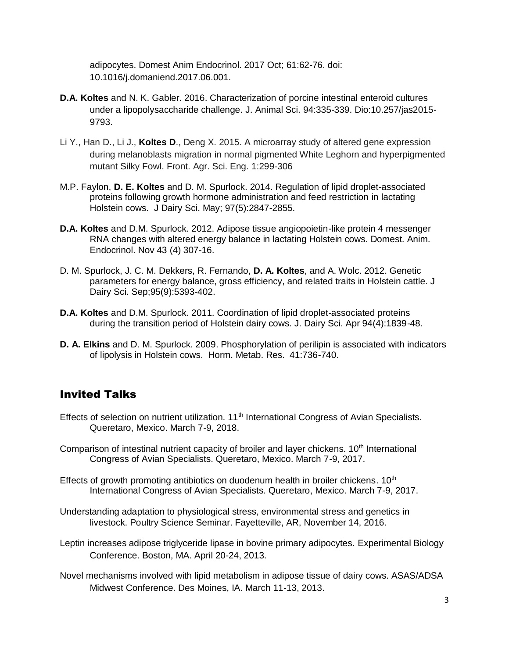adipocytes. Domest Anim Endocrinol. 2017 Oct; 61:62-76. doi: 10.1016/j.domaniend.2017.06.001.

- **D.A. Koltes** and N. K. Gabler. 2016. Characterization of porcine intestinal enteroid cultures under a lipopolysaccharide challenge. J. Animal Sci. 94:335-339. Dio:10.257/jas2015- 9793.
- Li Y., Han D., Li J., **Koltes D**., Deng X. 2015. A microarray study of altered gene expression during melanoblasts migration in normal pigmented White Leghorn and hyperpigmented mutant Silky Fowl. Front. Agr. Sci. Eng. 1:299-306
- M.P. Faylon, **D. E. Koltes** and D. M. Spurlock. 2014. Regulation of lipid droplet-associated proteins following growth hormone administration and feed restriction in lactating Holstein cows. J Dairy Sci. May; 97(5):2847-2855.
- **D.A. Koltes** and D.M. Spurlock. 2012. Adipose tissue angiopoietin-like protein 4 messenger RNA changes with altered energy balance in lactating Holstein cows. Domest. Anim. Endocrinol. Nov 43 (4) 307-16.
- D. M. Spurlock, J. C. M. Dekkers, R. Fernando, **D. A. Koltes**, and A. Wolc. 2012. Genetic parameters for energy balance, gross efficiency, and related traits in Holstein cattle. J Dairy Sci. Sep;95(9):5393-402.
- **D.A. Koltes** and D.M. Spurlock. 2011. Coordination of lipid droplet-associated proteins during the transition period of Holstein dairy cows. J. Dairy Sci. Apr 94(4):1839-48.
- **D. A. Elkins** and D. M. Spurlock. 2009. Phosphorylation of perilipin is associated with indicators of lipolysis in Holstein cows. Horm. Metab. Res. 41:736-740.

#### Invited Talks

- Effects of selection on nutrient utilization. 11<sup>th</sup> International Congress of Avian Specialists. Queretaro, Mexico. March 7-9, 2018.
- Comparison of intestinal nutrient capacity of broiler and layer chickens. 10<sup>th</sup> International Congress of Avian Specialists. Queretaro, Mexico. March 7-9, 2017.
- Effects of growth promoting antibiotics on duodenum health in broiler chickens.  $10<sup>th</sup>$ International Congress of Avian Specialists. Queretaro, Mexico. March 7-9, 2017.
- Understanding adaptation to physiological stress, environmental stress and genetics in livestock. Poultry Science Seminar. Fayetteville, AR, November 14, 2016.
- Leptin increases adipose triglyceride lipase in bovine primary adipocytes. Experimental Biology Conference. Boston, MA. April 20-24, 2013.
- Novel mechanisms involved with lipid metabolism in adipose tissue of dairy cows. ASAS/ADSA Midwest Conference. Des Moines, IA. March 11-13, 2013.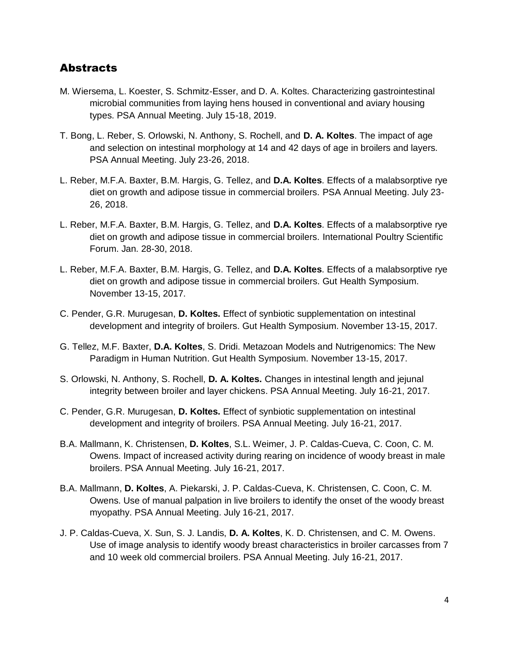## **Abstracts**

- M. Wiersema, L. Koester, S. Schmitz-Esser, and D. A. Koltes. Characterizing gastrointestinal microbial communities from laying hens housed in conventional and aviary housing types. PSA Annual Meeting. July 15-18, 2019.
- T. Bong, L. Reber, S. Orlowski, N. Anthony, S. Rochell, and **D. A. Koltes**. The impact of age and selection on intestinal morphology at 14 and 42 days of age in broilers and layers. PSA Annual Meeting. July 23-26, 2018.
- L. Reber, M.F.A. Baxter, B.M. Hargis, G. Tellez, and **D.A. Koltes**. Effects of a malabsorptive rye diet on growth and adipose tissue in commercial broilers. PSA Annual Meeting. July 23- 26, 2018.
- L. Reber, M.F.A. Baxter, B.M. Hargis, G. Tellez, and **D.A. Koltes**. Effects of a malabsorptive rye diet on growth and adipose tissue in commercial broilers. International Poultry Scientific Forum. Jan. 28-30, 2018.
- L. Reber, M.F.A. Baxter, B.M. Hargis, G. Tellez, and **D.A. Koltes**. Effects of a malabsorptive rye diet on growth and adipose tissue in commercial broilers. Gut Health Symposium. November 13-15, 2017.
- C. Pender, G.R. Murugesan, **D. Koltes.** Effect of synbiotic supplementation on intestinal development and integrity of broilers. Gut Health Symposium. November 13-15, 2017.
- G. Tellez, M.F. Baxter, **D.A. Koltes**, S. Dridi. Metazoan Models and Nutrigenomics: The New Paradigm in Human Nutrition. Gut Health Symposium. November 13-15, 2017.
- S. Orlowski, N. Anthony, S. Rochell, **D. A. Koltes.** Changes in intestinal length and jejunal integrity between broiler and layer chickens. PSA Annual Meeting. July 16-21, 2017.
- C. Pender, G.R. Murugesan, **D. Koltes.** Effect of synbiotic supplementation on intestinal development and integrity of broilers. PSA Annual Meeting. July 16-21, 2017.
- B.A. Mallmann, K. Christensen, **D. Koltes**, S.L. Weimer, J. P. Caldas-Cueva, C. Coon, C. M. Owens. Impact of increased activity during rearing on incidence of woody breast in male broilers. PSA Annual Meeting. July 16-21, 2017.
- B.A. Mallmann, **D. Koltes**, A. Piekarski, J. P. Caldas-Cueva, K. Christensen, C. Coon, C. M. Owens. Use of manual palpation in live broilers to identify the onset of the woody breast myopathy. PSA Annual Meeting. July 16-21, 2017.
- J. P. Caldas-Cueva, X. Sun, S. J. Landis, **D. A. Koltes**, K. D. Christensen, and C. M. Owens. Use of image analysis to identify woody breast characteristics in broiler carcasses from 7 and 10 week old commercial broilers. PSA Annual Meeting. July 16-21, 2017.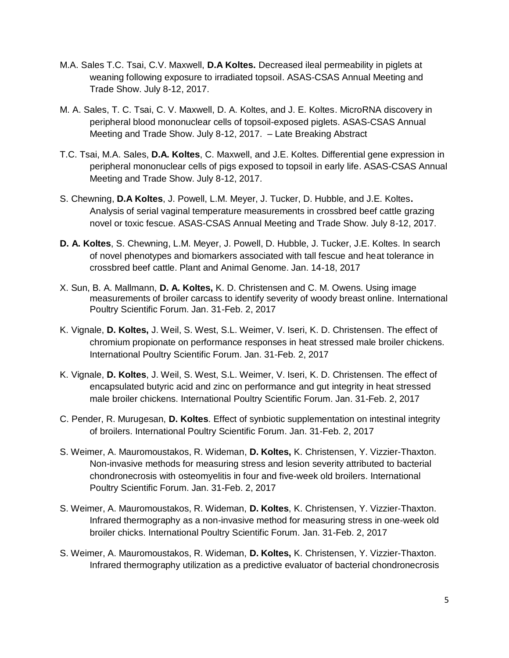- M.A. Sales T.C. Tsai, C.V. Maxwell, **D.A Koltes.** Decreased ileal permeability in piglets at weaning following exposure to irradiated topsoil. ASAS-CSAS Annual Meeting and Trade Show. July 8-12, 2017.
- M. A. Sales, T. C. Tsai, C. V. Maxwell, D. A. Koltes, and J. E. Koltes. MicroRNA discovery in peripheral blood mononuclear cells of topsoil-exposed piglets. ASAS-CSAS Annual Meeting and Trade Show. July 8-12, 2017. – Late Breaking Abstract
- T.C. Tsai, M.A. Sales, **D.A. Koltes**, C. Maxwell, and J.E. Koltes. Differential gene expression in peripheral mononuclear cells of pigs exposed to topsoil in early life. ASAS-CSAS Annual Meeting and Trade Show. July 8-12, 2017.
- S. Chewning, **D.A Koltes**, J. Powell, L.M. Meyer, J. Tucker, D. Hubble, and J.E. Koltes**.**  Analysis of serial vaginal temperature measurements in crossbred beef cattle grazing novel or toxic fescue. ASAS-CSAS Annual Meeting and Trade Show. July 8-12, 2017.
- **D. A. Koltes**, S. Chewning, L.M. Meyer, J. Powell, D. Hubble, J. Tucker, J.E. Koltes. In search of novel phenotypes and biomarkers associated with tall fescue and heat tolerance in crossbred beef cattle. Plant and Animal Genome. Jan. 14-18, 2017
- X. Sun, B. A. Mallmann, **D. A. Koltes,** K. D. Christensen and C. M. Owens. Using image measurements of broiler carcass to identify severity of woody breast online. International Poultry Scientific Forum. Jan. 31-Feb. 2, 2017
- K. Vignale, **D. Koltes,** J. Weil, S. West, S.L. Weimer, V. Iseri, K. D. Christensen. The effect of chromium propionate on performance responses in heat stressed male broiler chickens. International Poultry Scientific Forum. Jan. 31-Feb. 2, 2017
- K. Vignale, **D. Koltes**, J. Weil, S. West, S.L. Weimer, V. Iseri, K. D. Christensen. The effect of encapsulated butyric acid and zinc on performance and gut integrity in heat stressed male broiler chickens. International Poultry Scientific Forum. Jan. 31-Feb. 2, 2017
- C. Pender, R. Murugesan, **D. Koltes**. Effect of synbiotic supplementation on intestinal integrity of broilers. International Poultry Scientific Forum. Jan. 31-Feb. 2, 2017
- S. Weimer, A. Mauromoustakos, R. Wideman, **D. Koltes,** K. Christensen, Y. Vizzier-Thaxton. Non-invasive methods for measuring stress and lesion severity attributed to bacterial chondronecrosis with osteomyelitis in four and five-week old broilers. International Poultry Scientific Forum. Jan. 31-Feb. 2, 2017
- S. Weimer, A. Mauromoustakos, R. Wideman, **D. Koltes**, K. Christensen, Y. Vizzier-Thaxton. Infrared thermography as a non-invasive method for measuring stress in one-week old broiler chicks. International Poultry Scientific Forum. Jan. 31-Feb. 2, 2017
- S. Weimer, A. Mauromoustakos, R. Wideman, **D. Koltes,** K. Christensen, Y. Vizzier-Thaxton. Infrared thermography utilization as a predictive evaluator of bacterial chondronecrosis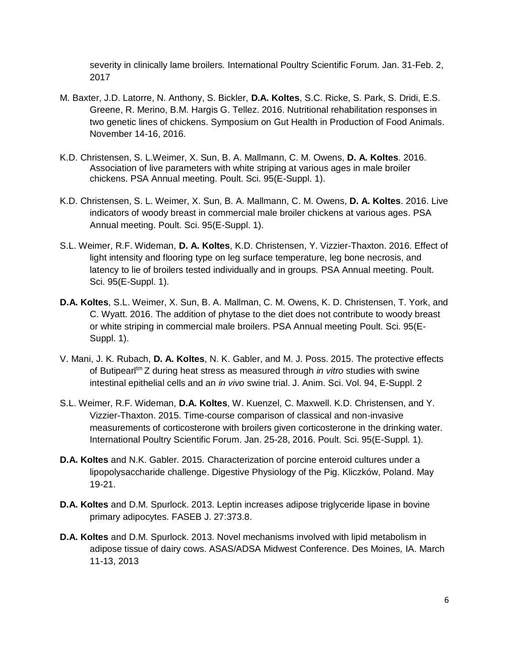severity in clinically lame broilers. International Poultry Scientific Forum. Jan. 31-Feb. 2, 2017

- M. Baxter, J.D. Latorre, N. Anthony, S. Bickler, **D.A. Koltes**, S.C. Ricke, S. Park, S. Dridi, E.S. Greene, R. Merino, B.M. Hargis G. Tellez. 2016. Nutritional rehabilitation responses in two genetic lines of chickens. Symposium on Gut Health in Production of Food Animals. November 14-16, 2016.
- K.D. Christensen, S. L.Weimer, X. Sun, B. A. Mallmann, C. M. Owens, **D. A. Koltes**. 2016. Association of live parameters with white striping at various ages in male broiler chickens. PSA Annual meeting. Poult. Sci. 95(E-Suppl. 1).
- K.D. Christensen, S. L. Weimer, X. Sun, B. A. Mallmann, C. M. Owens, **D. A. Koltes**. 2016. Live indicators of woody breast in commercial male broiler chickens at various ages. PSA Annual meeting. Poult. Sci. 95(E-Suppl. 1).
- S.L. Weimer, R.F. Wideman, **D. A. Koltes**, K.D. Christensen, Y. Vizzier-Thaxton. 2016. Effect of light intensity and flooring type on leg surface temperature, leg bone necrosis, and latency to lie of broilers tested individually and in groups. PSA Annual meeting. Poult. Sci. 95(E-Suppl. 1).
- **D.A. Koltes**, S.L. Weimer, X. Sun, B. A. Mallman, C. M. Owens, K. D. Christensen, T. York, and C. Wyatt. 2016. The addition of phytase to the diet does not contribute to woody breast or white striping in commercial male broilers. PSA Annual meeting Poult. Sci. 95(E-Suppl. 1).
- V. Mani, J. K. Rubach, **D. A. Koltes**, N. K. Gabler, and M. J. Poss. 2015. The protective effects of Butipearltm Z during heat stress as measured through *in vitro* studies with swine intestinal epithelial cells and an *in vivo* swine trial. J. Anim. Sci. Vol. 94, E-Suppl. 2
- S.L. Weimer, R.F. Wideman, **D.A. Koltes**, W. Kuenzel, C. Maxwell. K.D. Christensen, and Y. Vizzier-Thaxton. 2015. Time-course comparison of classical and non-invasive measurements of corticosterone with broilers given corticosterone in the drinking water. International Poultry Scientific Forum. Jan. 25-28, 2016. Poult. Sci. 95(E-Suppl. 1).
- **D.A. Koltes** and N.K. Gabler. 2015. Characterization of porcine enteroid cultures under a lipopolysaccharide challenge. Digestive Physiology of the Pig. Kliczków, Poland. May 19-21.
- **D.A. Koltes** and D.M. Spurlock. 2013. Leptin increases adipose triglyceride lipase in bovine primary adipocytes. FASEB J. 27:373.8.
- **D.A. Koltes** and D.M. Spurlock. 2013. Novel mechanisms involved with lipid metabolism in adipose tissue of dairy cows. ASAS/ADSA Midwest Conference. Des Moines, IA. March 11-13, 2013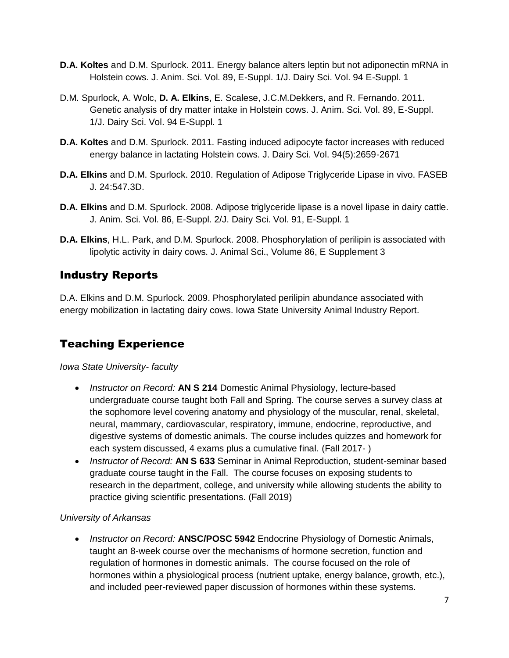- **D.A. Koltes** and D.M. Spurlock. 2011. Energy balance alters leptin but not adiponectin mRNA in Holstein cows. J. Anim. Sci. Vol. 89, E-Suppl. 1/J. Dairy Sci. Vol. 94 E-Suppl. 1
- D.M. Spurlock, A. Wolc, **D. A. Elkins**, E. Scalese, J.C.M.Dekkers, and R. Fernando. 2011. Genetic analysis of dry matter intake in Holstein cows. J. Anim. Sci. Vol. 89, E-Suppl. 1/J. Dairy Sci. Vol. 94 E-Suppl. 1
- **D.A. Koltes** and D.M. Spurlock. 2011. Fasting induced adipocyte factor increases with reduced energy balance in lactating Holstein cows. J. Dairy Sci. Vol. 94(5):2659-2671
- **D.A. Elkins** and D.M. Spurlock. 2010. Regulation of Adipose Triglyceride Lipase in vivo. FASEB J. 24:547.3D.
- **D.A. Elkins** and D.M. Spurlock. 2008. Adipose triglyceride lipase is a novel lipase in dairy cattle. J. Anim. Sci. Vol. 86, E-Suppl. 2/J. Dairy Sci. Vol. 91, E-Suppl. 1
- **D.A. Elkins**, H.L. Park, and D.M. Spurlock. 2008. Phosphorylation of perilipin is associated with lipolytic activity in dairy cows. J. Animal Sci., Volume 86, E Supplement 3

#### Industry Reports

D.A. Elkins and D.M. Spurlock. 2009. Phosphorylated perilipin abundance associated with energy mobilization in lactating dairy cows. Iowa State University Animal Industry Report.

## Teaching Experience

*Iowa State University- faculty*

- *Instructor on Record:* **AN S 214** Domestic Animal Physiology, lecture-based undergraduate course taught both Fall and Spring. The course serves a survey class at the sophomore level covering anatomy and physiology of the muscular, renal, skeletal, neural, mammary, cardiovascular, respiratory, immune, endocrine, reproductive, and digestive systems of domestic animals. The course includes quizzes and homework for each system discussed, 4 exams plus a cumulative final. (Fall 2017- )
- *Instructor of Record:* **AN S 633** Seminar in Animal Reproduction, student-seminar based graduate course taught in the Fall. The course focuses on exposing students to research in the department, college, and university while allowing students the ability to practice giving scientific presentations. (Fall 2019)

#### *University of Arkansas*

• *Instructor on Record:* **ANSC/POSC 5942** Endocrine Physiology of Domestic Animals, taught an 8-week course over the mechanisms of hormone secretion, function and regulation of hormones in domestic animals. The course focused on the role of hormones within a physiological process (nutrient uptake, energy balance, growth, etc.), and included peer-reviewed paper discussion of hormones within these systems.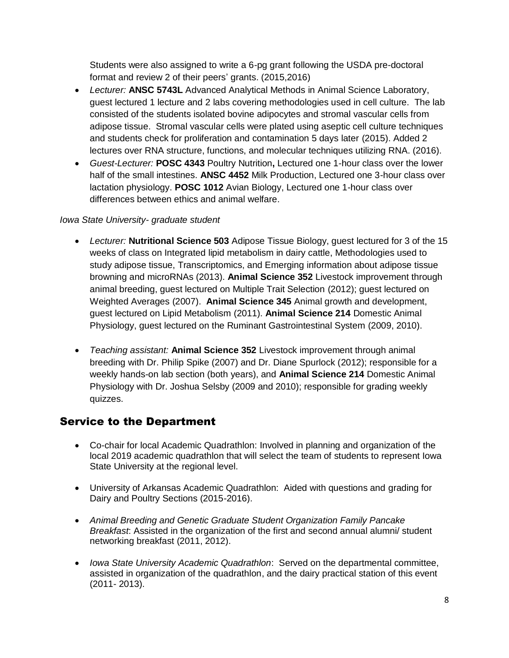Students were also assigned to write a 6-pg grant following the USDA pre-doctoral format and review 2 of their peers' grants. (2015,2016)

- *Lecturer:* **ANSC 5743L** Advanced Analytical Methods in Animal Science Laboratory, guest lectured 1 lecture and 2 labs covering methodologies used in cell culture. The lab consisted of the students isolated bovine adipocytes and stromal vascular cells from adipose tissue. Stromal vascular cells were plated using aseptic cell culture techniques and students check for proliferation and contamination 5 days later (2015). Added 2 lectures over RNA structure, functions, and molecular techniques utilizing RNA. (2016).
- *Guest-Lecturer:* **POSC 4343** Poultry Nutrition**,** Lectured one 1-hour class over the lower half of the small intestines. **ANSC 4452** Milk Production, Lectured one 3-hour class over lactation physiology. **POSC 1012** Avian Biology, Lectured one 1-hour class over differences between ethics and animal welfare.

#### *Iowa State University- graduate student*

- *Lecturer:* **Nutritional Science 503** Adipose Tissue Biology, guest lectured for 3 of the 15 weeks of class on Integrated lipid metabolism in dairy cattle, Methodologies used to study adipose tissue, Transcriptomics, and Emerging information about adipose tissue browning and microRNAs (2013). **Animal Science 352** Livestock improvement through animal breeding, guest lectured on Multiple Trait Selection (2012); guest lectured on Weighted Averages (2007). **Animal Science 345** Animal growth and development, guest lectured on Lipid Metabolism (2011). **Animal Science 214** Domestic Animal Physiology, guest lectured on the Ruminant Gastrointestinal System (2009, 2010).
- *Teaching assistant:* **Animal Science 352** Livestock improvement through animal breeding with Dr. Philip Spike (2007) and Dr. Diane Spurlock (2012); responsible for a weekly hands-on lab section (both years), and **Animal Science 214** Domestic Animal Physiology with Dr. Joshua Selsby (2009 and 2010); responsible for grading weekly quizzes.

#### Service to the Department

- Co-chair for local Academic Quadrathlon: Involved in planning and organization of the local 2019 academic quadrathlon that will select the team of students to represent Iowa State University at the regional level.
- University of Arkansas Academic Quadrathlon: Aided with questions and grading for Dairy and Poultry Sections (2015-2016).
- *Animal Breeding and Genetic Graduate Student Organization Family Pancake Breakfast*: Assisted in the organization of the first and second annual alumni/ student networking breakfast (2011, 2012).
- *Iowa State University Academic Quadrathlon*: Served on the departmental committee, assisted in organization of the quadrathlon, and the dairy practical station of this event (2011- 2013).